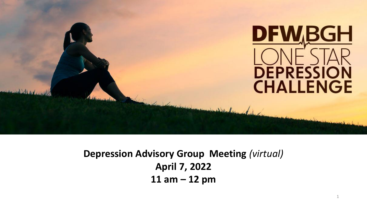

**Depression Advisory Group Meeting** *(virtual)* **April 7, 2022 11 am – 12 pm**

1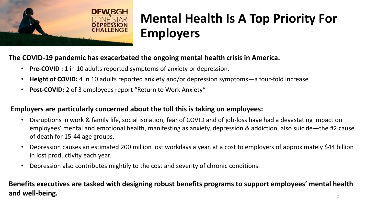

# **Mental Health Is A Top Priority For Employers**

#### **The COVID-19 pandemic has exacerbated the ongoing mental health crisis in America.**

- **Pre-COVID :** 1 in 10 adults reported symptoms of anxiety or depression.
- **Height of COVID:** 4 in 10 adults reported anxiety and/or depression symptoms—a four-fold increase
- **Post-COVID:** 2 of 3 employees report "Return to Work Anxiety"

#### **Employers are particularly concerned about the toll this is taking on employees:**

- Disruptions in work & family life, social isolation, fear of COVID and of job-loss have had a devastating impact on employees' mental and emotional health, manifesting as anxiety, depression & addiction, also suicide—the #2 cause of death for 15-44 age groups.
- Depression causes an estimated 200 million lost workdays a year, at a cost to employers of approximately \$44 billion in lost productivity each year.
- Depression also contributes mightily to the cost and severity of chronic conditions.

#### 2 **Benefits executives are tasked with designing robust benefits programs to support employees' mental health and well-being.**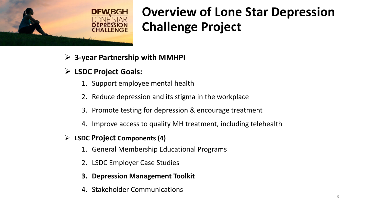

# **Overview of Lone Star Depression Challenge Project**

- ➢ **3-year Partnership with MMHPI**
- ➢ **LSDC Project Goals:**
	- 1. Support employee mental health
	- 2. Reduce depression and its stigma in the workplace
	- 3. Promote testing for depression & encourage treatment
	- 4. Improve access to quality MH treatment, including telehealth
- ➢ **LSDC Project Components (4)**
	- 1. General Membership Educational Programs
	- 2. LSDC Employer Case Studies
	- **3. Depression Management Toolkit**
	- 4. Stakeholder Communications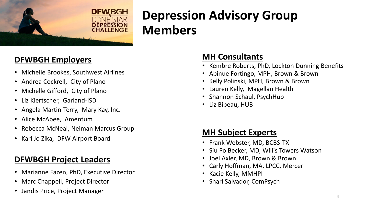

# **Depression Advisory Group Members**

### **DFWBGH Employers**

- Michelle Brookes, Southwest Airlines
- Andrea Cockrell, City of Plano
- Michelle Gifford, City of Plano
- Liz Kiertscher, Garland-ISD
- Angela Martin-Terry, Mary Kay, Inc.
- Alice McAbee, Amentum
- Rebecca McNeal, Neiman Marcus Group
- Kari Jo Zika, DFW Airport Board

### **DFWBGH Project Leaders**

- Marianne Fazen, PhD, Executive Director
- Marc Chappell, Project Director
- Jandis Price, Project Manager

#### **MH Consultants**

- Kembre Roberts, PhD, Lockton Dunning Benefits
- Abinue Fortingo, MPH, Brown & Brown
- Kelly Polinski, MPH, Brown & Brown
- Lauren Kelly, Magellan Health
- Shannon Schaul, PsychHub
- Liz Bibeau, HUB

### **MH Subject Experts**

- Frank Webster, MD, BCBS-TX
- Siu Po Becker, MD, Willis Towers Watson
- Joel Axler, MD, Brown & Brown
- Carly Hoffman, MA, LPCC, Mercer
- Kacie Kelly, MMHPI
- Shari Salvador, ComPsych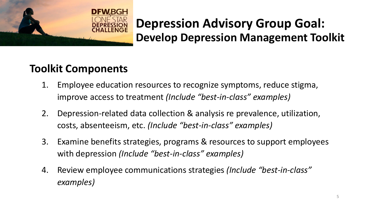

### **Depression Advisory Group Goal: Develop Depression Management Toolkit**

### **Toolkit Components**

- 1. Employee education resources to recognize symptoms, reduce stigma, improve access to treatment *(Include "best-in-class" examples)*
- 2. Depression-related data collection & analysis re prevalence, utilization, costs, absenteeism, etc. *(Include "best-in-class" examples)*
- 3. Examine benefits strategies, programs & resources to support employees with depression *(Include "best-in-class" examples)*
- 4. Review employee communications strategies *(Include "best-in-class" examples)*